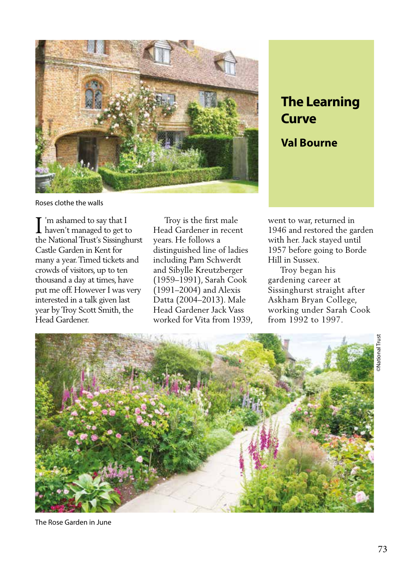

Roses clothe the walls

'm ashamed to say that I I'm ashamed to say that I<br>haven't managed to get to the National Trust's Sissinghurst Castle Garden in Kent for many a year. Timed tickets and crowds of visitors, up to ten thousand a day at times, have put me off. However I was very interested in a talk given last year by Troy Scott Smith, the Head Gardener.

 Troy is the first male Head Gardener in recent years. He follows a distinguished line of ladies including Pam Schwerdt and Sibylle Kreutzberger (1959–1991), Sarah Cook (1991–2004) and Alexis Datta (2004–2013). Male Head Gardener Jack Vass worked for Vita from 1939,

## **Curve**

## **Val Bourne**

went to war, returned in 1946 and restored the garden with her. Jack stayed until 1957 before going to Borde Hill in Sussex.

 Troy began his gardening career at Sissinghurst straight after Askham Bryan College, working under Sarah Cook from 1992 to 1997.



The Rose Garden in June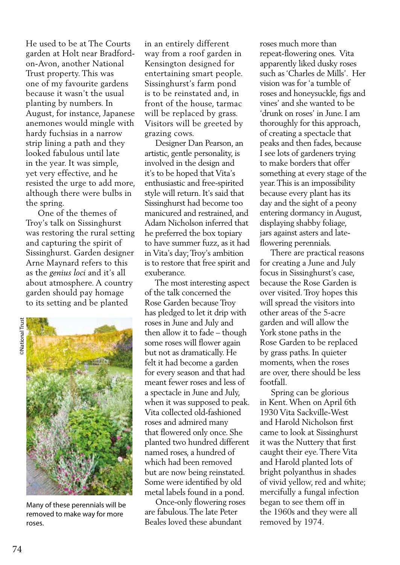He used to be at The Courts garden at Holt near Bradfordon-Avon, another National Trust property. This was one of my favourite gardens because it wasn't the usual planting by numbers. In August, for instance, Japanese anemones would mingle with hardy fuchsias in a narrow strip lining a path and they looked fabulous until late in the year. It was simple, yet very effective, and he resisted the urge to add more, although there were bulbs in the spring.

 One of the themes of Troy's talk on Sissinghurst was restoring the rural setting and capturing the spirit of Sissinghurst. Garden designer Arne Maynard refers to this as the *genius loci* and it's all about atmosphere. A country garden should pay homage to its setting and be planted



Many of these perennials will be removed to make way for more roses.

in an entirely different way from a roof garden in Kensington designed for entertaining smart people. Sissinghurst's farm pond is to be reinstated and, in front of the house, tarmac will be replaced by grass. Visitors will be greeted by grazing cows.

 Designer Dan Pearson, an artistic, gentle personality, is involved in the design and it's to be hoped that Vita's enthusiastic and free-spirited style will return. It's said that Sissinghurst had become too manicured and restrained, and Adam Nicholson inferred that he preferred the box topiary to have summer fuzz, as it had in Vita's day; Troy's ambition is to restore that free spirit and exuberance.

 The most interesting aspect of the talk concerned the Rose Garden because Troy has pledged to let it drip with roses in June and July and then allow it to fade – though some roses will flower again but not as dramatically. He felt it had become a garden for every season and that had meant fewer roses and less of a spectacle in June and July, when it was supposed to peak. Vita collected old-fashioned roses and admired many that flowered only once. She planted two hundred different named roses, a hundred of which had been removed but are now being reinstated. Some were identified by old metal labels found in a pond.

 Once-only flowering roses are fabulous. The late Peter Beales loved these abundant

roses much more than repeat-flowering ones. Vita apparently liked dusky roses such as 'Charles de Mills'. Her vision was for 'a tumble of roses and honeysuckle, figs and vines' and she wanted to be 'drunk on roses' in June. I am thoroughly for this approach, of creating a spectacle that peaks and then fades, because I see lots of gardeners trying to make borders that offer something at every stage of the year. This is an impossibility because every plant has its day and the sight of a peony entering dormancy in August, displaying shabby foliage, jars against asters and lateflowering perennials.

 There are practical reasons for creating a June and July focus in Sissinghurst's case, because the Rose Garden is over visited. Troy hopes this will spread the visitors into other areas of the 5-acre garden and will allow the York stone paths in the Rose Garden to be replaced by grass paths. In quieter moments, when the roses are over, there should be less footfall.

 Spring can be glorious in Kent. When on April 6th 1930 Vita Sackville-West and Harold Nicholson first came to look at Sissinghurst it was the Nuttery that first caught their eye. There Vita and Harold planted lots of bright polyanthus in shades of vivid yellow, red and white; mercifully a fungal infection began to see them off in the 1960s and they were all removed by 1974.